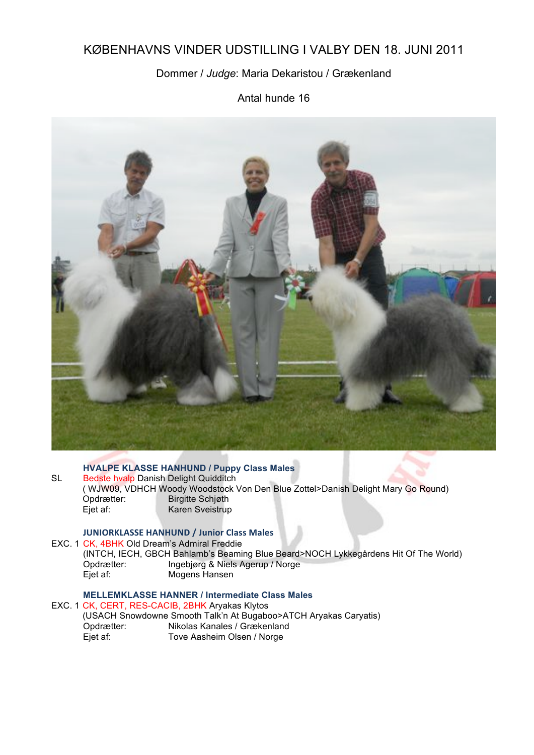# KØBENHAVNS VINDER UDSTILLING I VALBY DEN 18. JUNI 2011

### Dommer / *Judge*: Maria Dekaristou / Grækenland

Antal hunde 16



#### **HVALPE KLASSE HANHUND / Puppy Class Males**

SL Bedste hvalp Danish Delight Quidditch ( WJW09, VDHCH Woody Woodstock Von Den Blue Zottel>Danish Delight Mary Go Round)<br>Opdrætter: Birgitte Schiøth Opdrætter: Birgitte Schjøth<br>Ejet af: Karen Sveistrup Karen Sveistrup

#### **JUNIORKLASSE HANHUND / Junior Class Males**

EXC. 1 CK, 4BHK Old Dream's Admiral Freddie (INTCH, IECH, GBCH Bahlamb's Beaming Blue Beard>NOCH Lykkegårdens Hit Of The World) Opdrætter: Ingebjørg & Niels Agerup / Norge<br>Eiet af: Mogens Hansen Mogens Hansen

### **MELLEMKLASSE HANNER / Intermediate Class Males**

EXC. 1 CK, CERT, RES-CACIB, 2BHK Aryakas Klytos (USACH Snowdowne Smooth Talk'n At Bugaboo>ATCH Aryakas Caryatis) Nikolas Kanales / Grækenland Ejet af: Tove Aasheim Olsen / Norge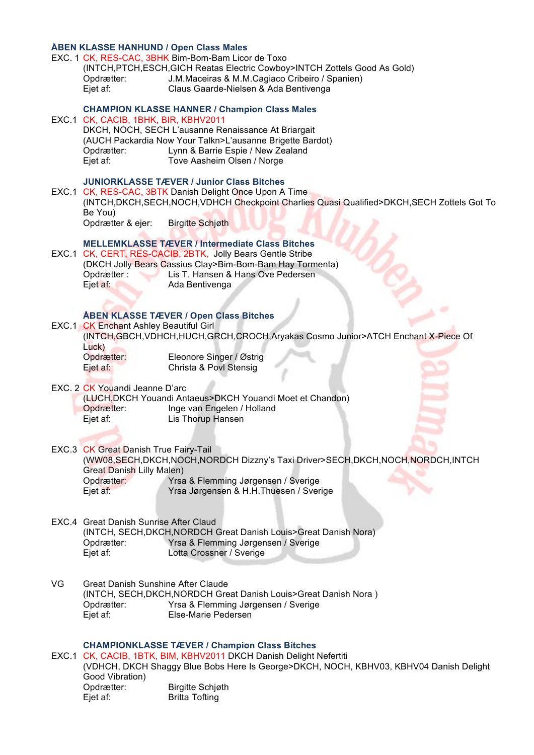## **ÅBEN KLASSE HANHUND / Open Class Males**

|    | Opdrætter:<br>Ejet af:                                                                              | EXC. 1 CK, RES-CAC, 3BHK Bim-Bom-Bam Licor de Toxo<br>(INTCH, PTCH, ESCH, GICH Reatas Electric Cowboy>INTCH Zottels Good As Gold)<br>J.M.Maceiras & M.M.Cagiaco Cribeiro / Spanien)<br>Claus Gaarde-Nielsen & Ada Bentivenga                                             |
|----|-----------------------------------------------------------------------------------------------------|--------------------------------------------------------------------------------------------------------------------------------------------------------------------------------------------------------------------------------------------------------------------------|
|    | EXC.1 CK, CACIB, 1BHK, BIR, KBHV2011<br>Opdrætter:<br>Ejet af:                                      | <b>CHAMPION KLASSE HANNER / Champion Class Males</b><br>DKCH, NOCH, SECH L'ausanne Renaissance At Briargait<br>(AUCH Packardia Now Your Talkn>L'ausanne Brigette Bardot)<br>Lynn & Barrie Espie / New Zealand<br>Tove Aasheim Olsen / Norge                              |
|    | Be You)<br>Opdrætter & ejer:                                                                        | <b>JUNIORKLASSE TÆVER / Junior Class Bitches</b><br>EXC.1 CK, RES-CAC, 3BTK Danish Delight Once Upon A Time<br>(INTCH, DKCH, SECH, NOCH, VDHCH Checkpoint Charlies Quasi Qualified>DKCH, SECH Zottels Got To<br><b>Birgitte Schjøth</b>                                  |
|    | Opdrætter:<br>Ejet af:                                                                              | <b>MELLEMKLASSE TÆVER / Intermediate Class Bitches</b><br>EXC.1 CK, CERT, RES-CACIB, 2BTK, Jolly Bears Gentle Stribe<br>(DKCH Jolly Bears Cassius Clay>Bim-Bom-Bam Hay Tormenta)<br>Lis T. Hansen & Hans Ove Pedersen<br>Ada Bentivenga                                  |
|    | EXC.1 CK Enchant Ashley Beautiful Girl<br>Luck)<br>Opdrætter:<br>Ejet af:                           | <b>ÅBEN KLASSE TÆVER / Open Class Bitches</b><br>(INTCH, GBCH, VDHCH, HUCH, GRCH, CROCH, Aryakas Cosmo Junior>ATCH Enchant X-Piece Of<br>Eleonore Singer / Østrig<br>Christa & Povl Stensig                                                                              |
|    | EXC. 2 CK Youandi Jeanne D'arc<br>Opdrætter:<br>Ejet af:                                            | (LUCH, DKCH Youandi Antaeus>DKCH Youandi Moet et Chandon)<br>Inge van Engelen / Holland<br>Lis Thorup Hansen                                                                                                                                                             |
|    | EXC.3 CK Great Danish True Fairy-Tail<br><b>Great Danish Lilly Malen)</b><br>Opdrætter:<br>Ejet af: | (WW08,SECH,DKCH,NOCH,NORDCH Dizzny's Taxi Driver>SECH,DKCH,NOCH,NORDCH,INTCH<br>Yrsa & Flemming Jørgensen / Sverige<br>Yrsa Jørgensen & H.H.Thuesen / Sverige                                                                                                            |
|    | EXC.4 Great Danish Sunrise After Claud<br>Opdrætter:<br>Ejet af:                                    | (INTCH, SECH, DKCH, NORDCH Great Danish Louis>Great Danish Nora)<br>Yrsa & Flemming Jørgensen / Sverige<br>Lotta Crossner / Sverige                                                                                                                                      |
| VG | <b>Great Danish Sunshine After Claude</b><br>Opdrætter:<br>Ejet af:                                 | (INTCH, SECH, DKCH, NORDCH Great Danish Louis>Great Danish Nora)<br>Yrsa & Flemming Jørgensen / Sverige<br>Else-Marie Pedersen                                                                                                                                           |
|    | Good Vibration)<br>Opdrætter:<br>Ejet af:                                                           | <b>CHAMPIONKLASSE TÆVER / Champion Class Bitches</b><br>EXC.1 CK, CACIB, 1BTK, BIM, KBHV2011 DKCH Danish Delight Nefertiti<br>(VDHCH, DKCH Shaggy Blue Bobs Here Is George>DKCH, NOCH, KBHV03, KBHV04 Danish Delight<br><b>Birgitte Schjøth</b><br><b>Britta Tofting</b> |